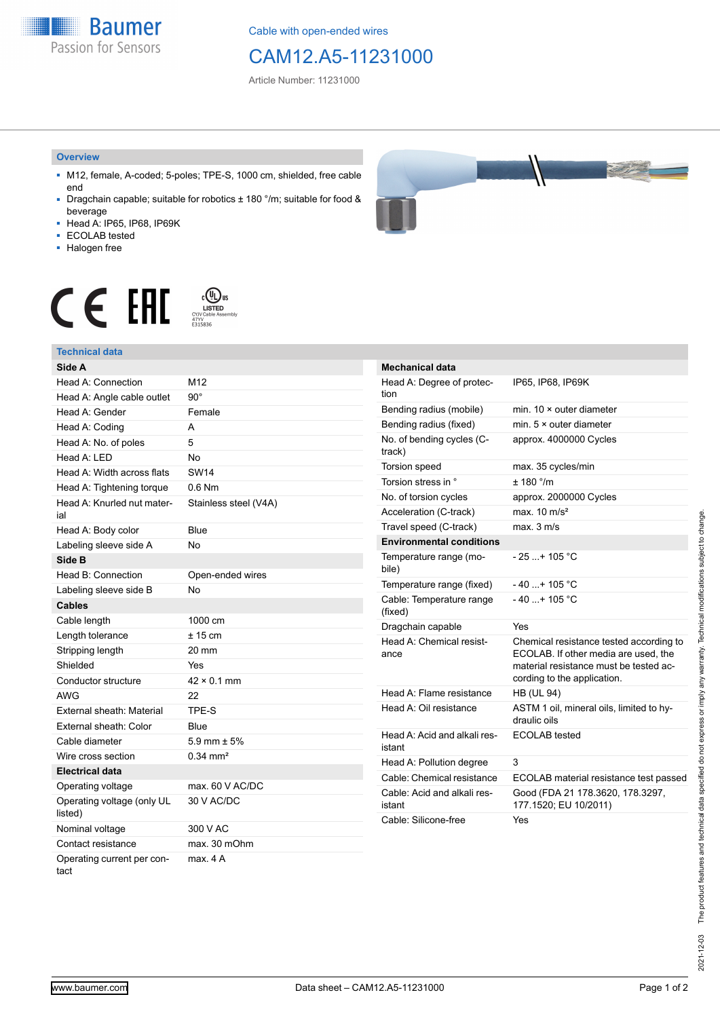**Baumer** Passion for Sensors

Cable with open-ended wires

# CAM12.A5-11231000

Article Number: 11231000

#### **Overview**

- M12, female, A-coded; 5-poles; TPE-S, 1000 cm, shielded, free cable end
- Dragchain capable; suitable for robotics ± 180 °/m; suitable for food & beverage
- Head A: IP65, IP68, IP69K
- ECOLAB tested
- Halogen free



# $\displaystyle \mathop{\mathsf{C}}\limits_{\substack{\mathsf{C} \text{YJV Cable Asser}\ \text{47YY} \ \text{47YY}}} \mathop{\mathsf{LISTED}}\limits_{\substack{\mathsf{C} \text{47YY} \ \text{E}315836}}$ CE EAL

### **Technical data**

| Side A                                |                       |
|---------------------------------------|-----------------------|
| Head A: Connection                    | M12                   |
| Head A: Angle cable outlet            | $90^\circ$            |
| Head A: Gender                        | Female                |
| Head A: Coding                        | А                     |
| Head A: No. of poles                  | 5                     |
| Head A: LED                           | <b>No</b>             |
| Head A: Width across flats            | <b>SW14</b>           |
| Head A: Tightening torque             | $0.6$ Nm              |
| Head A: Knurled nut mater-<br>ial     | Stainless steel (V4A) |
| Head A: Body color                    | Blue                  |
| Labeling sleeve side A                | No                    |
| Side B                                |                       |
| Head B: Connection                    | Open-ended wires      |
| Labeling sleeve side B                | <b>No</b>             |
| <b>Cables</b>                         |                       |
| Cable length                          | 1000 cm               |
| Length tolerance                      | $± 15$ cm             |
| Stripping length                      | 20 mm                 |
| Shielded                              | Yes                   |
| Conductor structure                   | $42 \times 0.1$ mm    |
| AWG                                   | 22                    |
| External sheath: Material             | TPE-S                 |
| External sheath: Color                | Blue                  |
| Cable diameter                        | 5.9 mm $\pm$ 5%       |
| Wire cross section                    | $0.34 \text{ mm}^2$   |
| <b>Electrical data</b>                |                       |
| Operating voltage                     | max. 60 V AC/DC       |
| Operating voltage (only UL<br>listed) | 30 V AC/DC            |
| Nominal voltage                       | 300 V AC              |
| Contact resistance                    | max. 30 mOhm          |
| Operating current per con-<br>tact    | max. 4A               |

| <b>Mechanical data</b>                 |                                                                                                                                                          |
|----------------------------------------|----------------------------------------------------------------------------------------------------------------------------------------------------------|
| Head A: Degree of protec-<br>tion      | IP65, IP68, IP69K                                                                                                                                        |
| Bending radius (mobile)                | min. 10 × outer diameter                                                                                                                                 |
| Bending radius (fixed)                 | min. $5 \times$ outer diameter                                                                                                                           |
| No. of bending cycles (C-<br>track)    | approx. 4000000 Cycles                                                                                                                                   |
| <b>Torsion speed</b>                   | max. 35 cycles/min                                                                                                                                       |
| Torsion stress in °                    | ± 180 °/m                                                                                                                                                |
| No. of torsion cycles                  | approx. 2000000 Cycles                                                                                                                                   |
| Acceleration (C-track)                 | max. $10 \text{ m/s}^2$                                                                                                                                  |
| Travel speed (C-track)                 | max. 3 m/s                                                                                                                                               |
| <b>Environmental conditions</b>        |                                                                                                                                                          |
| Temperature range (mo-<br>bile)        | - 25 + 105 °C                                                                                                                                            |
| Temperature range (fixed)              | $-40+105 °C$                                                                                                                                             |
| Cable: Temperature range<br>(fixed)    | $-40+105$ °C                                                                                                                                             |
| Dragchain capable                      | Yes                                                                                                                                                      |
| Head A: Chemical resist-<br>ance       | Chemical resistance tested according to<br>ECOLAB. If other media are used, the<br>material resistance must be tested ac-<br>cording to the application. |
| Head A: Flame resistance               | <b>HB (UL 94)</b>                                                                                                                                        |
| Head A: Oil resistance                 | ASTM 1 oil, mineral oils, limited to hy-<br>draulic oils                                                                                                 |
| Head A: Acid and alkali res-<br>istant | <b>ECOLAB</b> tested                                                                                                                                     |
| Head A: Pollution degree               | 3                                                                                                                                                        |
| Cable: Chemical resistance             | ECOLAB material resistance test passed                                                                                                                   |
| Cable: Acid and alkali res-<br>istant  | Good (FDA 21 178.3620, 178.3297,<br>177.1520; EU 10/2011)                                                                                                |
| Cable: Silicone-free                   | Yes                                                                                                                                                      |